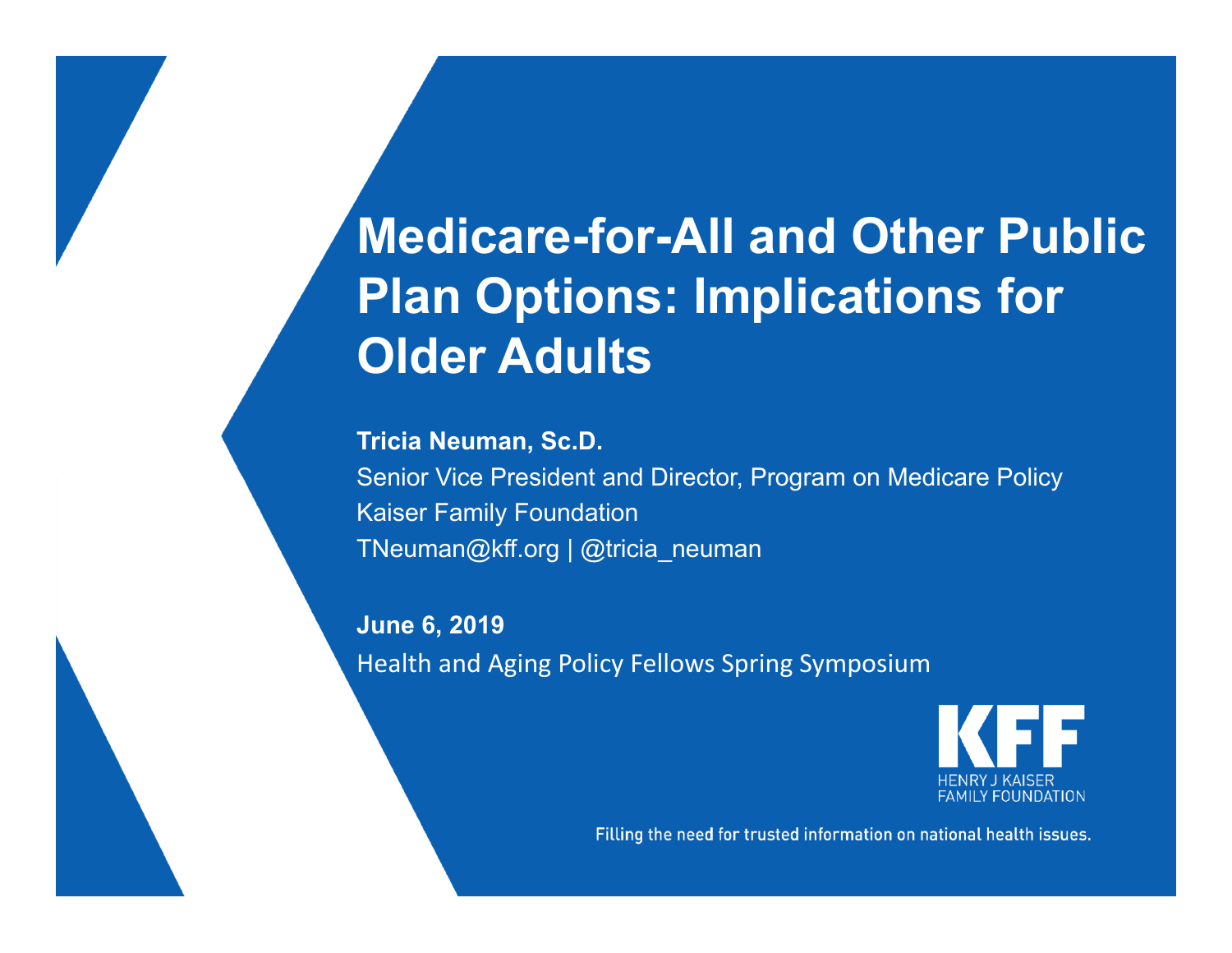## **Medicare-for-All and Other Public Plan Options: Implications for Older Adults**

**Tricia Neuman, Sc.D.**

Senior Vice President and Director, Program on Medicare Policy Kaiser Family Foundation TNeuman@kff.org | @tricia\_neuman

**June 6, 2019** Health and Aging Policy Fellows Spring Symposium



Filling the need for trusted information on national health issues.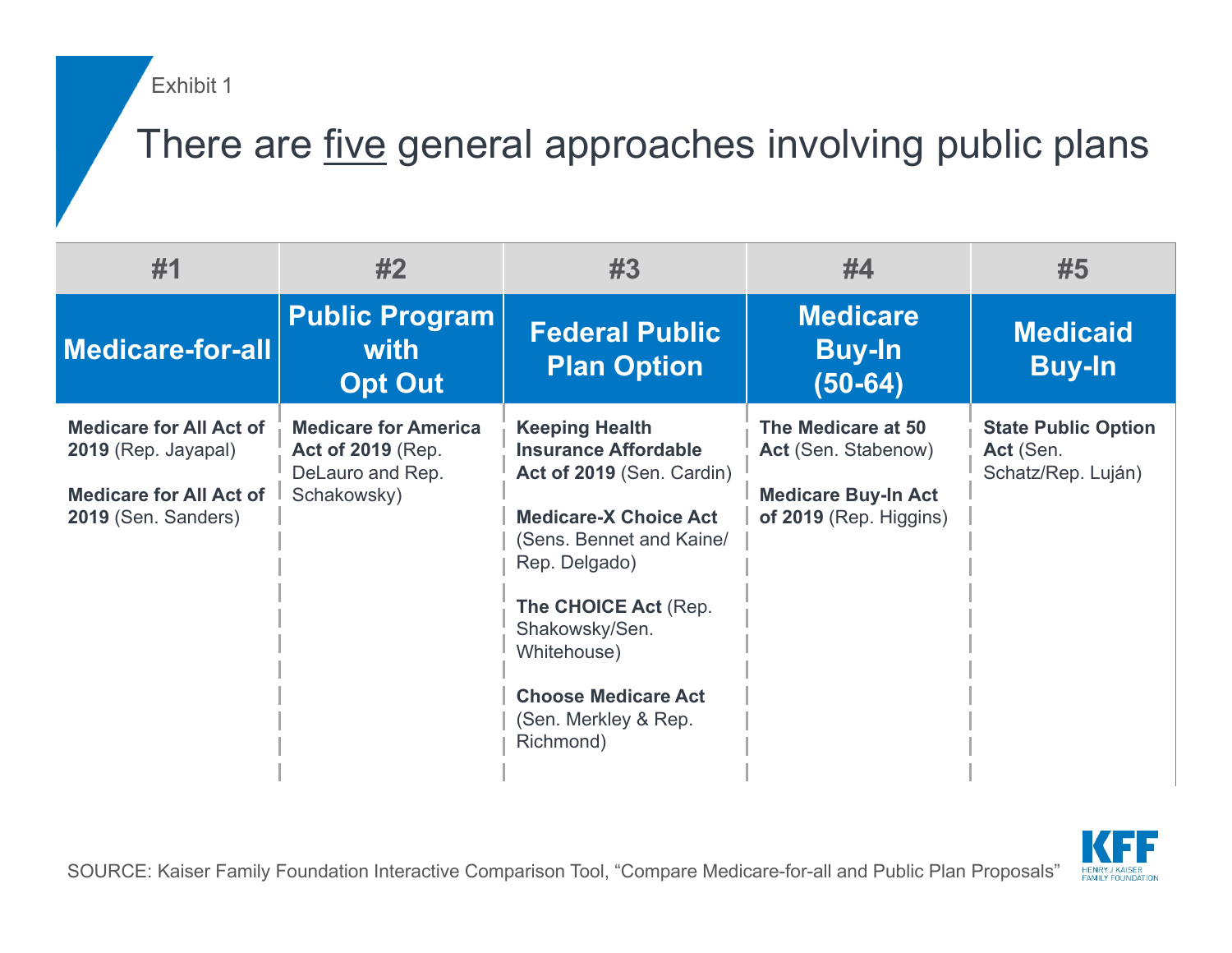Exhibit 1

### There are five general approaches involving public plans

| #1                                                                                                             | #2                                                                                         | #3                                                                                                                                                                                                                                                                                         | #4                                                                                                | #5                                                            |
|----------------------------------------------------------------------------------------------------------------|--------------------------------------------------------------------------------------------|--------------------------------------------------------------------------------------------------------------------------------------------------------------------------------------------------------------------------------------------------------------------------------------------|---------------------------------------------------------------------------------------------------|---------------------------------------------------------------|
| <b>Medicare-for-all</b>                                                                                        | <b>Public Program</b><br>with<br><b>Opt Out</b>                                            | <b>Federal Public</b><br><b>Plan Option</b>                                                                                                                                                                                                                                                | <b>Medicare</b><br><b>Buy-In</b><br>(50-64)                                                       | <b>Medicaid</b><br><b>Buy-In</b>                              |
| <b>Medicare for All Act of</b><br>2019 (Rep. Jayapal)<br><b>Medicare for All Act of</b><br>2019 (Sen. Sanders) | <b>Medicare for America</b><br><b>Act of 2019 (Rep.</b><br>DeLauro and Rep.<br>Schakowsky) | <b>Keeping Health</b><br><b>Insurance Affordable</b><br>Act of 2019 (Sen. Cardin)<br><b>Medicare-X Choice Act</b><br>(Sens. Bennet and Kaine/<br>Rep. Delgado)<br>The CHOICE Act (Rep.<br>Shakowsky/Sen.<br>Whitehouse)<br><b>Choose Medicare Act</b><br>(Sen. Merkley & Rep.<br>Richmond) | The Medicare at 50<br>Act (Sen. Stabenow)<br><b>Medicare Buy-In Act</b><br>of 2019 (Rep. Higgins) | <b>State Public Option</b><br>Act (Sen.<br>Schatz/Rep. Luján) |

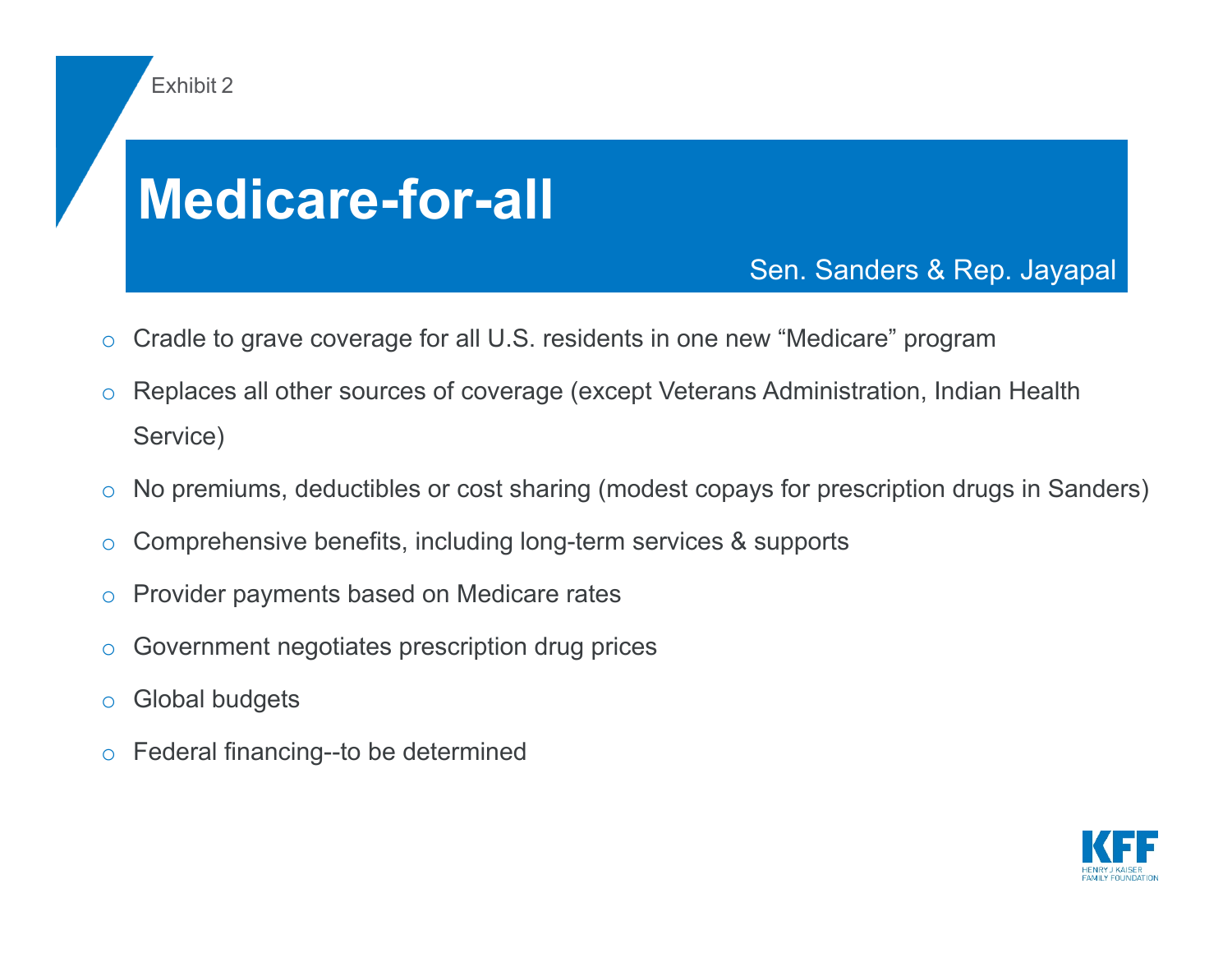# **Medicare-for-all**

Sen. Sanders & Rep. Jayapal

- oCradle to grave coverage for all U.S. residents in one new "Medicare" program
- o Replaces all other sources of coverage (except Veterans Administration, Indian Health Service)
- oNo premiums, deductibles or cost sharing (modest copays for prescription drugs in Sanders)
- oComprehensive benefits, including long-term services & supports
- oProvider payments based on Medicare rates
- oGovernment negotiates prescription drug prices
- oGlobal budgets

Exhibit 2

oFederal financing--to be determined

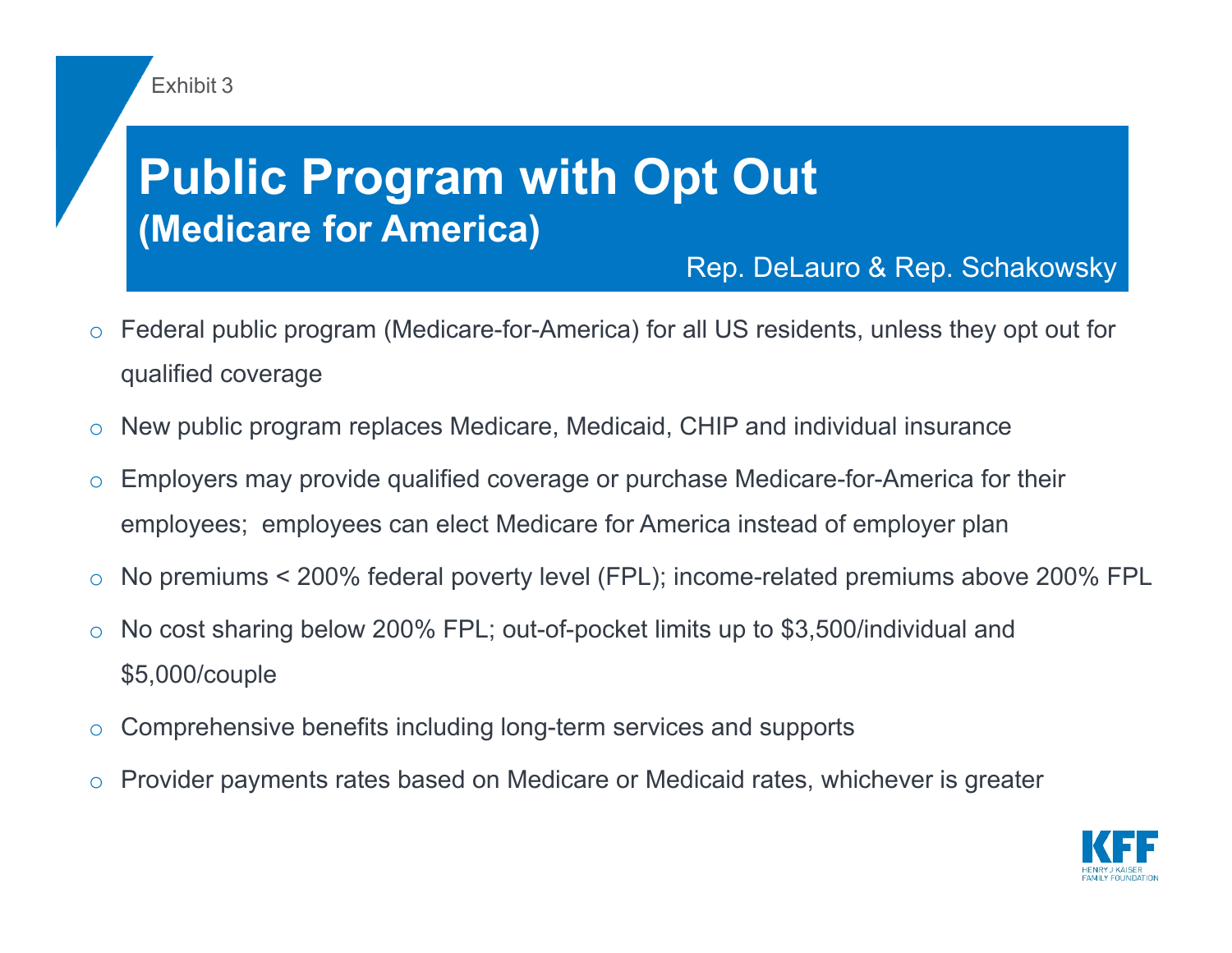#### Exhibit 3

## **Public Program with Opt Out (Medicare for America)**

#### Rep. DeLauro & Rep. Schakowsky

- o Federal public program (Medicare-for-America) for all US residents, unless they opt out for qualified coverage
- oNew public program replaces Medicare, Medicaid, CHIP and individual insurance
- o Employers may provide qualified coverage or purchase Medicare-for-America for their employees; employees can elect Medicare for America instead of employer plan
- oNo premiums < 200% federal poverty level (FPL); income-related premiums above 200% FPL
- o No cost sharing below 200% FPL; out-of-pocket limits up to \$3,500/individual and \$5,000/couple
- oComprehensive benefits including long-term services and supports
- oProvider payments rates based on Medicare or Medicaid rates, whichever is greater

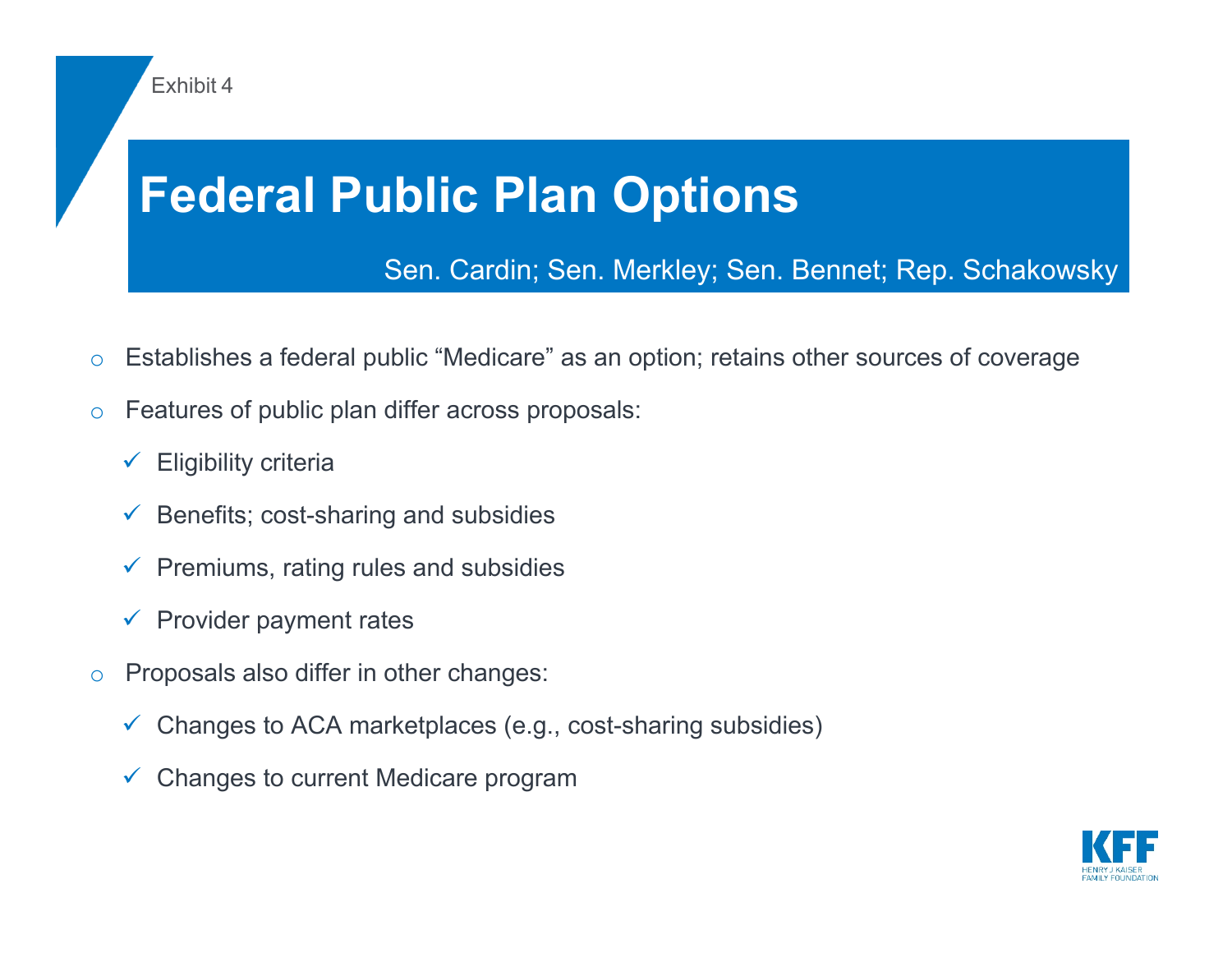

- oEstablishes a federal public "Medicare" as an option; retains other sources of coverage
- o Features of public plan differ across proposals:
	- $\checkmark$  Eligibility criteria
	- $\checkmark$  Benefits; cost-sharing and subsidies
	- $\checkmark$  Premiums, rating rules and subsidies
	- $\checkmark$  Provider payment rates
- o Proposals also differ in other changes:
	- $\checkmark$  Changes to ACA marketplaces (e.g., cost-sharing subsidies)
	- $\checkmark$  Changes to current Medicare program

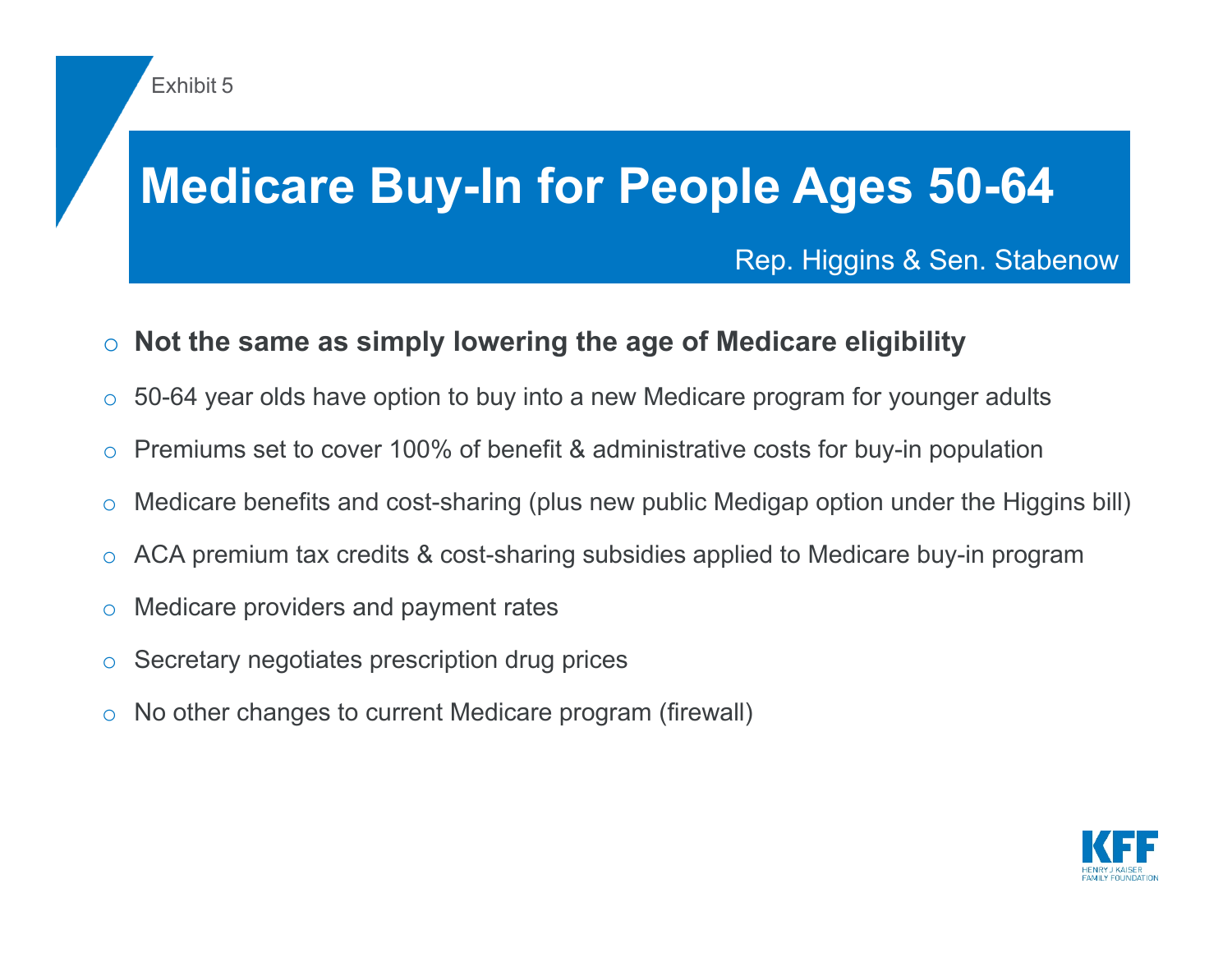## **Medicare Buy-In for People Ages 50-64**

#### Rep. Higgins & Sen. Stabenow

#### o**Not the same as simply lowering the age of Medicare eligibility**

- o50-64 year olds have option to buy into a new Medicare program for younger adults
- oPremiums set to cover 100% of benefit & administrative costs for buy-in population
- oMedicare benefits and cost-sharing (plus new public Medigap option under the Higgins bill)
- oACA premium tax credits & cost-sharing subsidies applied to Medicare buy-in program
- oMedicare providers and payment rates
- oSecretary negotiates prescription drug prices
- oNo other changes to current Medicare program (firewall)

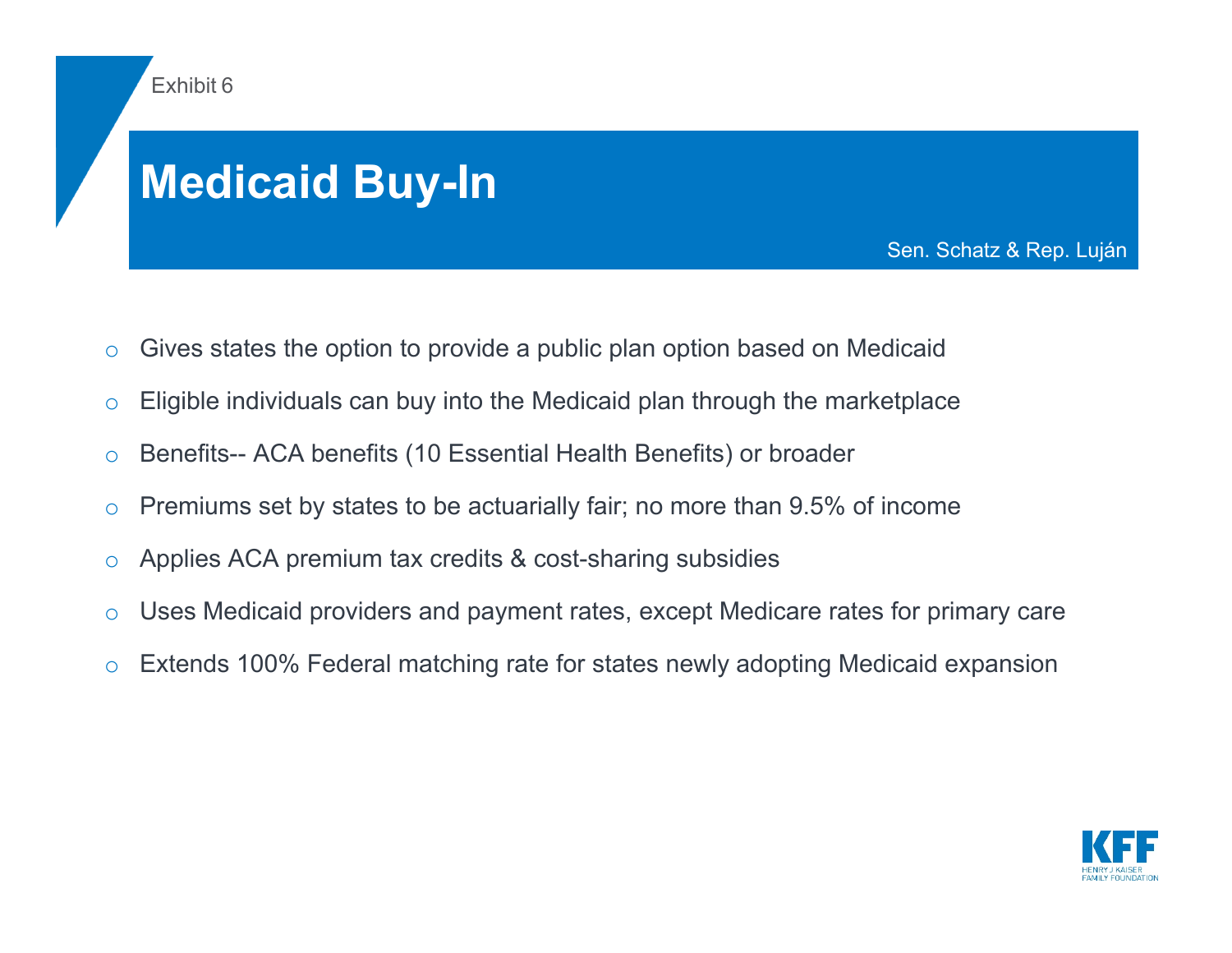

## **Medicaid Buy-In**

Sen. Schatz & Rep. Luján

- oGives states the option to provide a public plan option based on Medicaid
- oEligible individuals can buy into the Medicaid plan through the marketplace
- oBenefits-- ACA benefits (10 Essential Health Benefits) or broader
- oPremiums set by states to be actuarially fair; no more than 9.5% of income
- oApplies ACA premium tax credits & cost-sharing subsidies
- oUses Medicaid providers and payment rates, except Medicare rates for primary care
- oExtends 100% Federal matching rate for states newly adopting Medicaid expansion